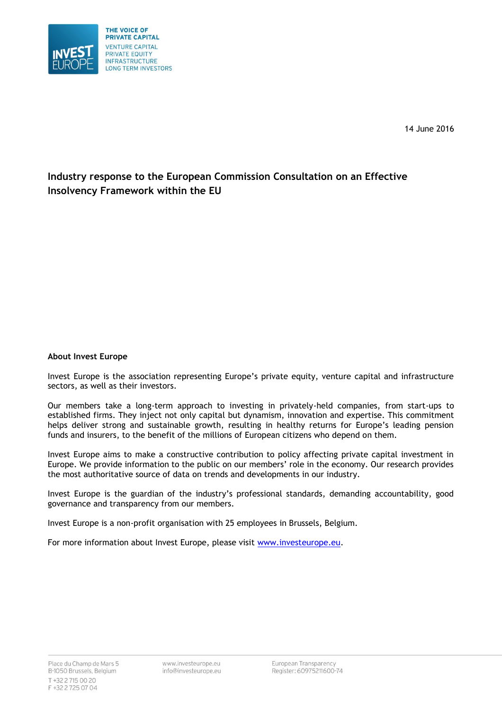

14 June 2016

# **Industry response to the European Commission Consultation on an Effective Insolvency Framework within the EU**

### **About Invest Europe**

Invest Europe is the association representing Europe's private equity, venture capital and infrastructure sectors, as well as their investors.

Our members take a long-term approach to investing in privately-held companies, from start-ups to established firms. They inject not only capital but dynamism, innovation and expertise. This commitment helps deliver strong and sustainable growth, resulting in healthy returns for Europe's leading pension funds and insurers, to the benefit of the millions of European citizens who depend on them.

Invest Europe aims to make a constructive contribution to policy affecting private capital investment in Europe. We provide information to the public on our members' role in the economy. Our research provides the most authoritative source of data on trends and developments in our industry.

Invest Europe is the guardian of the industry's professional standards, demanding accountability, good governance and transparency from our members.

Invest Europe is a non-profit organisation with 25 employees in Brussels, Belgium.

For more information about Invest Europe, please visit [www.investeurope.eu.](http://www.investeurope.eu/)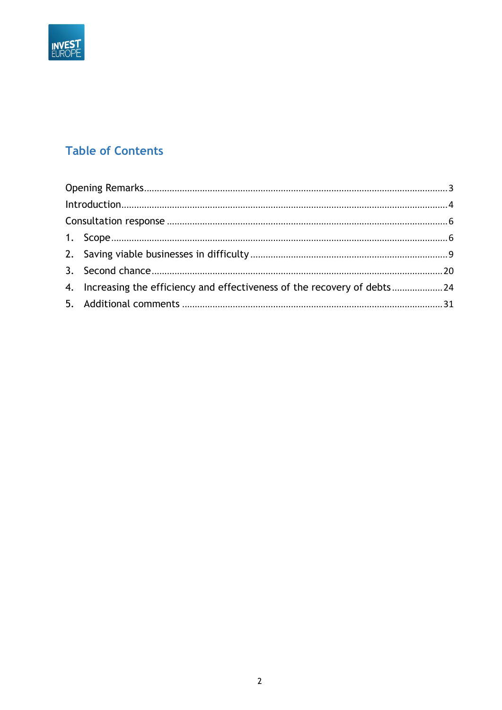

# **Table of Contents**

| 4. Increasing the efficiency and effectiveness of the recovery of debts24 |  |
|---------------------------------------------------------------------------|--|
|                                                                           |  |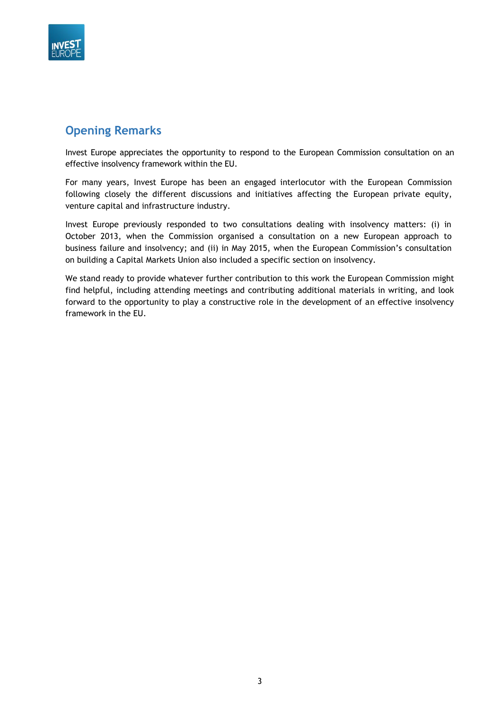

# <span id="page-2-0"></span>**Opening Remarks**

Invest Europe appreciates the opportunity to respond to the European Commission consultation on an effective insolvency framework within the EU.

For many years, Invest Europe has been an engaged interlocutor with the European Commission following closely the different discussions and initiatives affecting the European private equity, venture capital and infrastructure industry.

Invest Europe previously responded to two consultations dealing with insolvency matters: (i) in October 2013, when the Commission organised a consultation on a new European approach to business failure and insolvency; and (ii) in May 2015, when the European Commission's consultation on building a Capital Markets Union also included a specific section on insolvency.

We stand ready to provide whatever further contribution to this work the European Commission might find helpful, including attending meetings and contributing additional materials in writing, and look forward to the opportunity to play a constructive role in the development of an effective insolvency framework in the EU.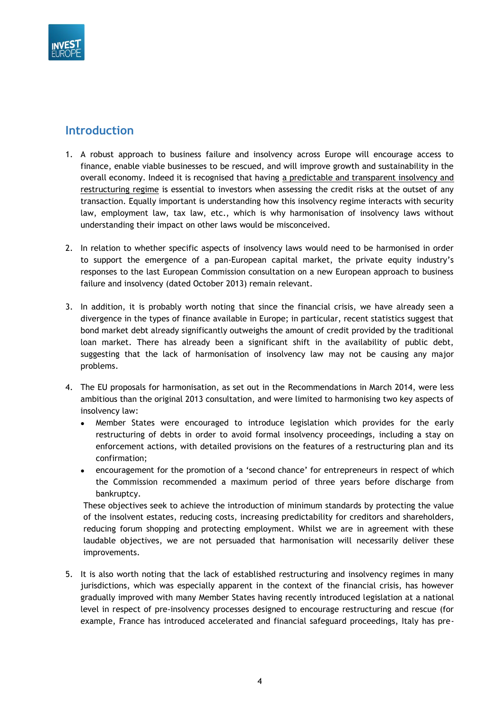

# <span id="page-3-0"></span>**Introduction**

- 1. A robust approach to business failure and insolvency across Europe will encourage access to finance, enable viable businesses to be rescued, and will improve growth and sustainability in the overall economy. Indeed it is recognised that having a predictable and transparent insolvency and restructuring regime is essential to investors when assessing the credit risks at the outset of any transaction. Equally important is understanding how this insolvency regime interacts with security law, employment law, tax law, etc., which is why harmonisation of insolvency laws without understanding their impact on other laws would be misconceived.
- 2. In relation to whether specific aspects of insolvency laws would need to be harmonised in order to support the emergence of a pan-European capital market, the private equity industry's responses to the last European Commission consultation on a new European approach to business failure and insolvency (dated October 2013) remain relevant.
- 3. In addition, it is probably worth noting that since the financial crisis, we have already seen a divergence in the types of finance available in Europe; in particular, recent statistics suggest that bond market debt already significantly outweighs the amount of credit provided by the traditional loan market. There has already been a significant shift in the availability of public debt, suggesting that the lack of harmonisation of insolvency law may not be causing any major problems.
- 4. The EU proposals for harmonisation, as set out in the Recommendations in March 2014, were less ambitious than the original 2013 consultation, and were limited to harmonising two key aspects of insolvency law:
	- Member States were encouraged to introduce legislation which provides for the early restructuring of debts in order to avoid formal insolvency proceedings, including a stay on enforcement actions, with detailed provisions on the features of a restructuring plan and its confirmation;
	- encouragement for the promotion of a 'second chance' for entrepreneurs in respect of which the Commission recommended a maximum period of three years before discharge from bankruptcy.

These objectives seek to achieve the introduction of minimum standards by protecting the value of the insolvent estates, reducing costs, increasing predictability for creditors and shareholders, reducing forum shopping and protecting employment. Whilst we are in agreement with these laudable objectives, we are not persuaded that harmonisation will necessarily deliver these improvements.

5. It is also worth noting that the lack of established restructuring and insolvency regimes in many jurisdictions, which was especially apparent in the context of the financial crisis, has however gradually improved with many Member States having recently introduced legislation at a national level in respect of pre-insolvency processes designed to encourage restructuring and rescue (for example, France has introduced accelerated and financial safeguard proceedings, Italy has pre-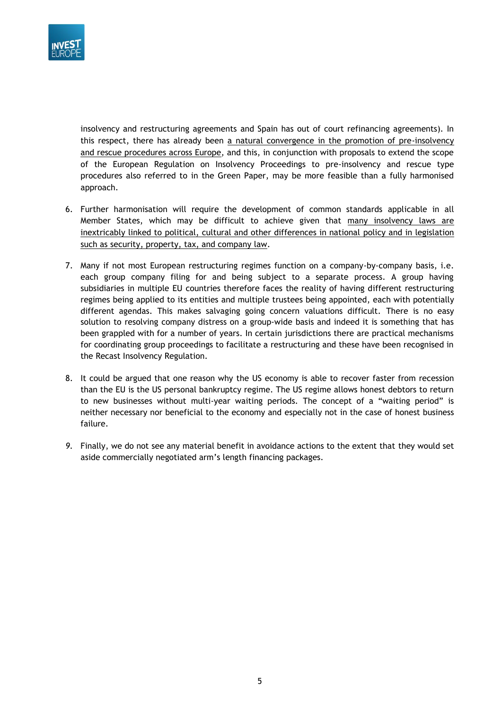

insolvency and restructuring agreements and Spain has out of court refinancing agreements). In this respect, there has already been a natural convergence in the promotion of pre-insolvency and rescue procedures across Europe, and this, in conjunction with proposals to extend the scope of the European Regulation on Insolvency Proceedings to pre-insolvency and rescue type procedures also referred to in the Green Paper, may be more feasible than a fully harmonised approach.

- 6. Further harmonisation will require the development of common standards applicable in all Member States, which may be difficult to achieve given that many insolvency laws are inextricably linked to political, cultural and other differences in national policy and in legislation such as security, property, tax, and company law.
- 7. Many if not most European restructuring regimes function on a company-by-company basis, i.e. each group company filing for and being subject to a separate process. A group having subsidiaries in multiple EU countries therefore faces the reality of having different restructuring regimes being applied to its entities and multiple trustees being appointed, each with potentially different agendas. This makes salvaging going concern valuations difficult. There is no easy solution to resolving company distress on a group-wide basis and indeed it is something that has been grappled with for a number of years. In certain jurisdictions there are practical mechanisms for coordinating group proceedings to facilitate a restructuring and these have been recognised in the Recast Insolvency Regulation.
- 8. It could be argued that one reason why the US economy is able to recover faster from recession than the EU is the US personal bankruptcy regime. The US regime allows honest debtors to return to new businesses without multi-year waiting periods. The concept of a "waiting period" is neither necessary nor beneficial to the economy and especially not in the case of honest business failure.
- *9.* Finally, we do not see any material benefit in avoidance actions to the extent that they would set aside commercially negotiated arm's length financing packages.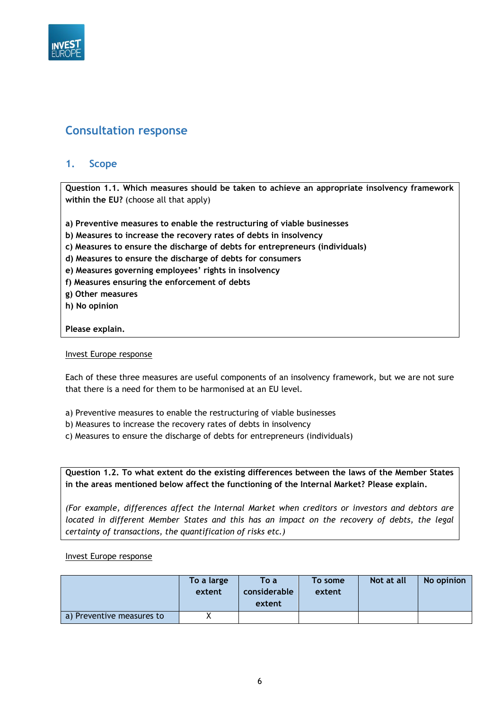

# <span id="page-5-1"></span><span id="page-5-0"></span>**Consultation response**

## **1. Scope**

**Question 1.1. Which measures should be taken to achieve an appropriate insolvency framework within the EU?** (choose all that apply)

**a) Preventive measures to enable the restructuring of viable businesses**

**b) Measures to increase the recovery rates of debts in insolvency**

- **c) Measures to ensure the discharge of debts for entrepreneurs (individuals)**
- **d) Measures to ensure the discharge of debts for consumers**
- **e) Measures governing employees' rights in insolvency**
- **f) Measures ensuring the enforcement of debts**
- **g) Other measures**
- **h) No opinion**

#### **Please explain.**

#### Invest Europe response

Each of these three measures are useful components of an insolvency framework, but we are not sure that there is a need for them to be harmonised at an EU level.

- a) Preventive measures to enable the restructuring of viable businesses
- b) Measures to increase the recovery rates of debts in insolvency
- c) Measures to ensure the discharge of debts for entrepreneurs (individuals)

**Question 1.2. To what extent do the existing differences between the laws of the Member States in the areas mentioned below affect the functioning of the Internal Market? Please explain.**

*(For example, differences affect the Internal Market when creditors or investors and debtors are located in different Member States and this has an impact on the recovery of debts, the legal certainty of transactions, the quantification of risks etc.)*

#### Invest Europe response

|                           | To a large<br>extent | To a<br>considerable<br>extent | To some<br>extent | Not at all | No opinion |
|---------------------------|----------------------|--------------------------------|-------------------|------------|------------|
| a) Preventive measures to |                      |                                |                   |            |            |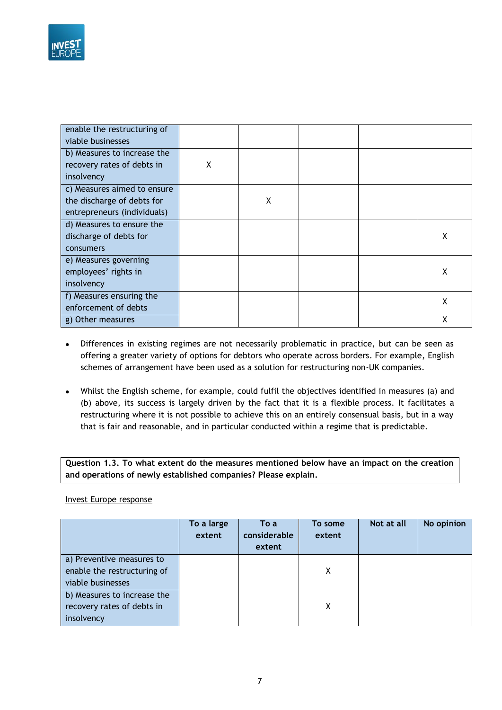

| enable the restructuring of |   |   |  |   |
|-----------------------------|---|---|--|---|
| viable businesses           |   |   |  |   |
| b) Measures to increase the |   |   |  |   |
| recovery rates of debts in  | X |   |  |   |
| insolvency                  |   |   |  |   |
| c) Measures aimed to ensure |   |   |  |   |
| the discharge of debts for  |   | X |  |   |
| entrepreneurs (individuals) |   |   |  |   |
| d) Measures to ensure the   |   |   |  |   |
| discharge of debts for      |   |   |  | x |
| consumers                   |   |   |  |   |
| e) Measures governing       |   |   |  |   |
| employees' rights in        |   |   |  | X |
| insolvency                  |   |   |  |   |
| f) Measures ensuring the    |   |   |  | Χ |
| enforcement of debts        |   |   |  |   |
| g) Other measures           |   |   |  | Χ |

- Differences in existing regimes are not necessarily problematic in practice, but can be seen as offering a greater variety of options for debtors who operate across borders. For example, English schemes of arrangement have been used as a solution for restructuring non-UK companies.
- Whilst the English scheme, for example, could fulfil the objectives identified in measures (a) and (b) above, its success is largely driven by the fact that it is a flexible process. It facilitates a restructuring where it is not possible to achieve this on an entirely consensual basis, but in a way that is fair and reasonable, and in particular conducted within a regime that is predictable.

**Question 1.3. To what extent do the measures mentioned below have an impact on the creation and operations of newly established companies? Please explain.**

#### Invest Europe response

|                                                                               | To a large<br>extent | To a<br>considerable<br>extent | To some<br>extent | Not at all | No opinion |
|-------------------------------------------------------------------------------|----------------------|--------------------------------|-------------------|------------|------------|
| a) Preventive measures to<br>enable the restructuring of<br>viable businesses |                      |                                | Χ                 |            |            |
| b) Measures to increase the<br>recovery rates of debts in<br>insolvency       |                      |                                | Χ                 |            |            |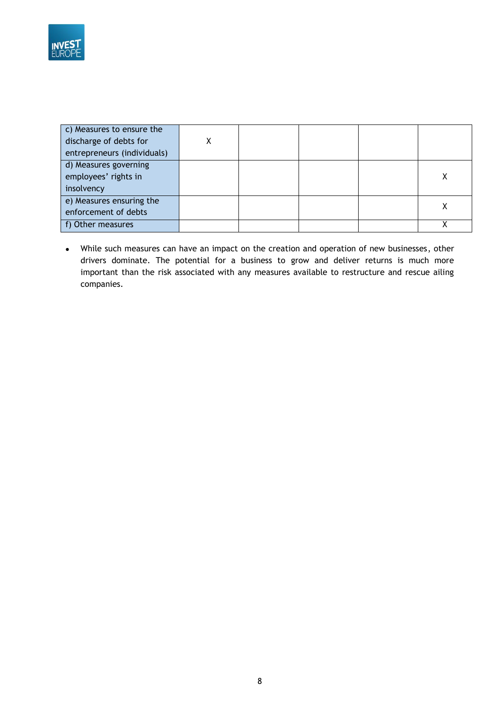

| c) Measures to ensure the<br>discharge of debts for<br>entrepreneurs (individuals) | χ |  |  |
|------------------------------------------------------------------------------------|---|--|--|
| d) Measures governing<br>employees' rights in<br>insolvency                        |   |  |  |
| e) Measures ensuring the<br>enforcement of debts                                   |   |  |  |
| f) Other measures                                                                  |   |  |  |

 While such measures can have an impact on the creation and operation of new businesses, other drivers dominate. The potential for a business to grow and deliver returns is much more important than the risk associated with any measures available to restructure and rescue ailing companies.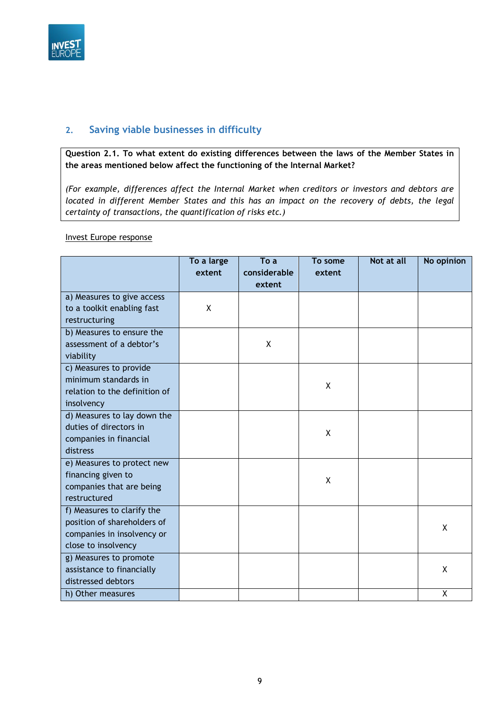

# <span id="page-8-0"></span>**2. Saving viable businesses in difficulty**

**Question 2.1. To what extent do existing differences between the laws of the Member States in the areas mentioned below affect the functioning of the Internal Market?**

*(For example, differences affect the Internal Market when creditors or investors and debtors are located in different Member States and this has an impact on the recovery of debts, the legal certainty of transactions, the quantification of risks etc.)*

#### Invest Europe response

|                               | To a large | To a         | To some | Not at all | No opinion |
|-------------------------------|------------|--------------|---------|------------|------------|
|                               | extent     | considerable | extent  |            |            |
|                               |            | extent       |         |            |            |
| a) Measures to give access    |            |              |         |            |            |
| to a toolkit enabling fast    | X          |              |         |            |            |
| restructuring                 |            |              |         |            |            |
| b) Measures to ensure the     |            |              |         |            |            |
| assessment of a debtor's      |            | X            |         |            |            |
| viability                     |            |              |         |            |            |
| c) Measures to provide        |            |              |         |            |            |
| minimum standards in          |            |              | X       |            |            |
| relation to the definition of |            |              |         |            |            |
| insolvency                    |            |              |         |            |            |
| d) Measures to lay down the   |            |              |         |            |            |
| duties of directors in        |            |              | χ       |            |            |
| companies in financial        |            |              |         |            |            |
| distress                      |            |              |         |            |            |
| e) Measures to protect new    |            |              |         |            |            |
| financing given to            |            |              | X       |            |            |
| companies that are being      |            |              |         |            |            |
| restructured                  |            |              |         |            |            |
| f) Measures to clarify the    |            |              |         |            |            |
| position of shareholders of   |            |              |         |            | X          |
| companies in insolvency or    |            |              |         |            |            |
| close to insolvency           |            |              |         |            |            |
| g) Measures to promote        |            |              |         |            |            |
| assistance to financially     |            |              |         |            | X          |
| distressed debtors            |            |              |         |            |            |
| h) Other measures             |            |              |         |            | X          |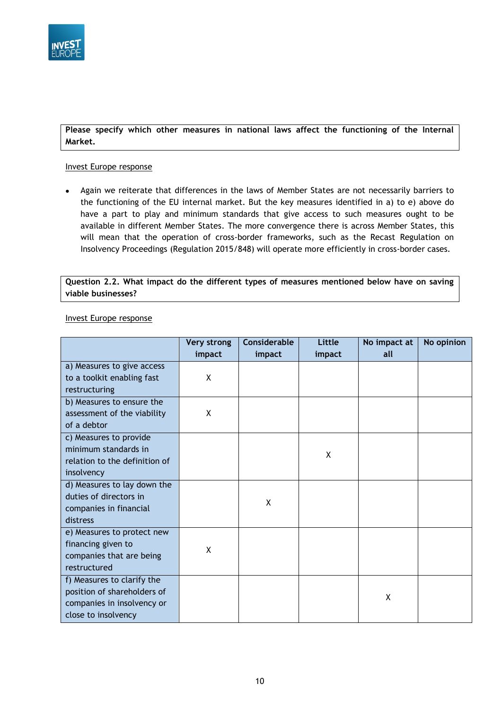

### **Please specify which other measures in national laws affect the functioning of the Internal Market.**

#### Invest Europe response

 Again we reiterate that differences in the laws of Member States are not necessarily barriers to the functioning of the EU internal market. But the key measures identified in a) to e) above do have a part to play and minimum standards that give access to such measures ought to be available in different Member States. The more convergence there is across Member States, this will mean that the operation of cross-border frameworks, such as the Recast Regulation on Insolvency Proceedings (Regulation 2015/848) will operate more efficiently in cross-border cases.

**Question 2.2. What impact do the different types of measures mentioned below have on saving viable businesses?**

|                               | <b>Very strong</b> | <b>Considerable</b> | Little | No impact at | No opinion |
|-------------------------------|--------------------|---------------------|--------|--------------|------------|
|                               | impact             | impact              | impact | all          |            |
| a) Measures to give access    |                    |                     |        |              |            |
| to a toolkit enabling fast    | X                  |                     |        |              |            |
| restructuring                 |                    |                     |        |              |            |
| b) Measures to ensure the     |                    |                     |        |              |            |
| assessment of the viability   | X                  |                     |        |              |            |
| of a debtor                   |                    |                     |        |              |            |
| c) Measures to provide        |                    |                     |        |              |            |
| minimum standards in          |                    |                     | X      |              |            |
| relation to the definition of |                    |                     |        |              |            |
| insolvency                    |                    |                     |        |              |            |
| d) Measures to lay down the   |                    |                     |        |              |            |
| duties of directors in        |                    | X                   |        |              |            |
| companies in financial        |                    |                     |        |              |            |
| distress                      |                    |                     |        |              |            |
| e) Measures to protect new    |                    |                     |        |              |            |
| financing given to            | X                  |                     |        |              |            |
| companies that are being      |                    |                     |        |              |            |
| restructured                  |                    |                     |        |              |            |
| f) Measures to clarify the    |                    |                     |        |              |            |
| position of shareholders of   |                    |                     |        | χ            |            |
| companies in insolvency or    |                    |                     |        |              |            |
| close to insolvency           |                    |                     |        |              |            |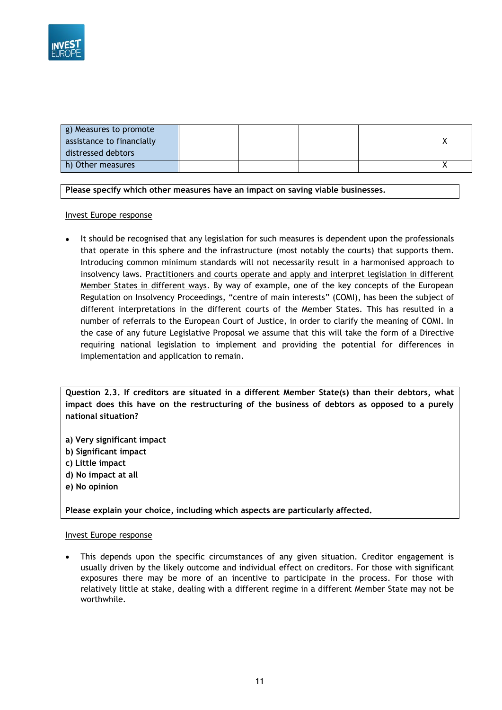

| g) Measures to promote    |  |  |  |
|---------------------------|--|--|--|
| assistance to financially |  |  |  |
| distressed debtors        |  |  |  |
| h) Other measures         |  |  |  |

**Please specify which other measures have an impact on saving viable businesses.**

#### Invest Europe response

 It should be recognised that any legislation for such measures is dependent upon the professionals that operate in this sphere and the infrastructure (most notably the courts) that supports them. Introducing common minimum standards will not necessarily result in a harmonised approach to insolvency laws. Practitioners and courts operate and apply and interpret legislation in different Member States in different ways. By way of example, one of the key concepts of the European Regulation on Insolvency Proceedings, "centre of main interests" (COMI), has been the subject of different interpretations in the different courts of the Member States. This has resulted in a number of referrals to the European Court of Justice, in order to clarify the meaning of COMI. In the case of any future Legislative Proposal we assume that this will take the form of a Directive requiring national legislation to implement and providing the potential for differences in implementation and application to remain.

**Question 2.3. If creditors are situated in a different Member State(s) than their debtors, what impact does this have on the restructuring of the business of debtors as opposed to a purely national situation?**

- **a) Very significant impact**
- **b) Significant impact**
- **c) Little impact**
- **d) No impact at all**
- **e) No opinion**

**Please explain your choice, including which aspects are particularly affected.**

#### Invest Europe response

 This depends upon the specific circumstances of any given situation. Creditor engagement is usually driven by the likely outcome and individual effect on creditors. For those with significant exposures there may be more of an incentive to participate in the process. For those with relatively little at stake, dealing with a different regime in a different Member State may not be worthwhile.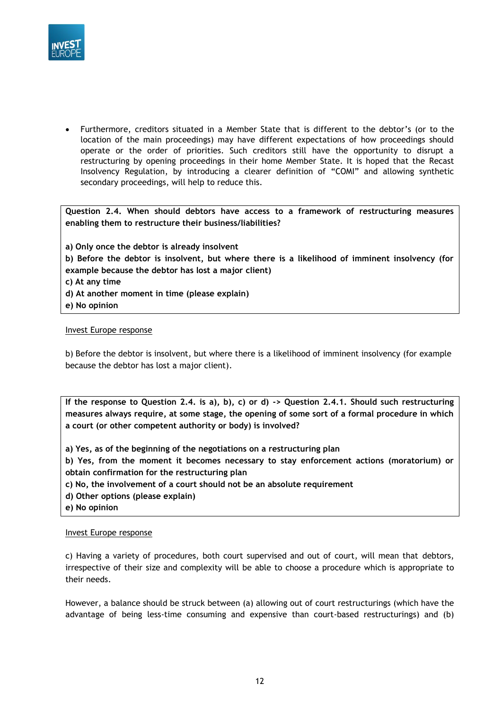

 Furthermore, creditors situated in a Member State that is different to the debtor's (or to the location of the main proceedings) may have different expectations of how proceedings should operate or the order of priorities. Such creditors still have the opportunity to disrupt a restructuring by opening proceedings in their home Member State. It is hoped that the Recast Insolvency Regulation, by introducing a clearer definition of "COMI" and allowing synthetic secondary proceedings, will help to reduce this.

**Question 2.4. When should debtors have access to a framework of restructuring measures enabling them to restructure their business/liabilities?**

**a) Only once the debtor is already insolvent b) Before the debtor is insolvent, but where there is a likelihood of imminent insolvency (for example because the debtor has lost a major client) c) At any time d) At another moment in time (please explain) e) No opinion**

#### Invest Europe response

b) Before the debtor is insolvent, but where there is a likelihood of imminent insolvency (for example because the debtor has lost a major client).

**If the response to Question 2.4. is a), b), c) or d) -> Question 2.4.1. Should such restructuring measures always require, at some stage, the opening of some sort of a formal procedure in which a court (or other competent authority or body) is involved?**

**a) Yes, as of the beginning of the negotiations on a restructuring plan**

**b) Yes, from the moment it becomes necessary to stay enforcement actions (moratorium) or obtain confirmation for the restructuring plan**

- **c) No, the involvement of a court should not be an absolute requirement**
- **d) Other options (please explain)**
- **e) No opinion**

#### Invest Europe response

c) Having a variety of procedures, both court supervised and out of court, will mean that debtors, irrespective of their size and complexity will be able to choose a procedure which is appropriate to their needs.

However, a balance should be struck between (a) allowing out of court restructurings (which have the advantage of being less-time consuming and expensive than court-based restructurings) and (b)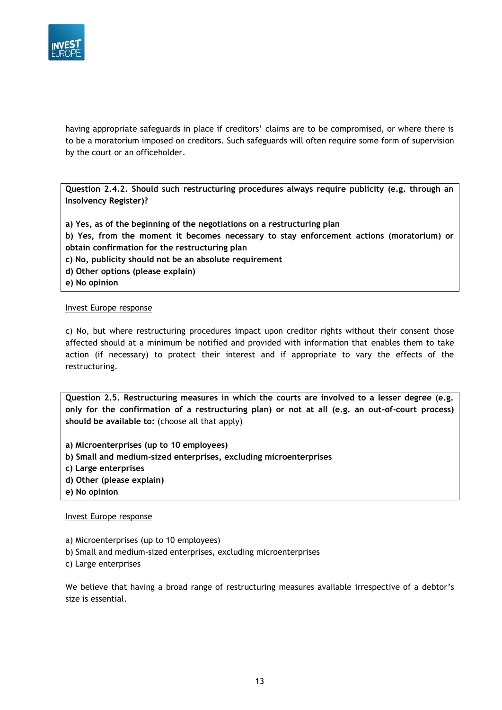

having appropriate safeguards in place if creditors' claims are to be compromised, or where there is to be a moratorium imposed on creditors. Such safeguards will often require some form of supervision by the court or an officeholder.

**Question 2.4.2. Should such restructuring procedures always require publicity (e.g. through an Insolvency Register)?**

**a) Yes, as of the beginning of the negotiations on a restructuring plan b) Yes, from the moment it becomes necessary to stay enforcement actions (moratorium) or obtain confirmation for the restructuring plan c) No, publicity should not be an absolute requirement d) Other options (please explain) e) No opinion**

#### Invest Europe response

c) No, but where restructuring procedures impact upon creditor rights without their consent those affected should at a minimum be notified and provided with information that enables them to take action (if necessary) to protect their interest and if appropriate to vary the effects of the restructuring.

**Question 2.5. Restructuring measures in which the courts are involved to a lesser degree (e.g. only for the confirmation of a restructuring plan) or not at all (e.g. an out-of-court process) should be available to:** (choose all that apply)

- **a) Microenterprises (up to 10 employees)**
- **b) Small and medium-sized enterprises, excluding microenterprises**
- **c) Large enterprises**
- **d) Other (please explain)**
- **e) No opinion**

#### Invest Europe response

- a) Microenterprises (up to 10 employees)
- b) Small and medium-sized enterprises, excluding microenterprises
- c) Large enterprises

We believe that having a broad range of restructuring measures available irrespective of a debtor's size is essential.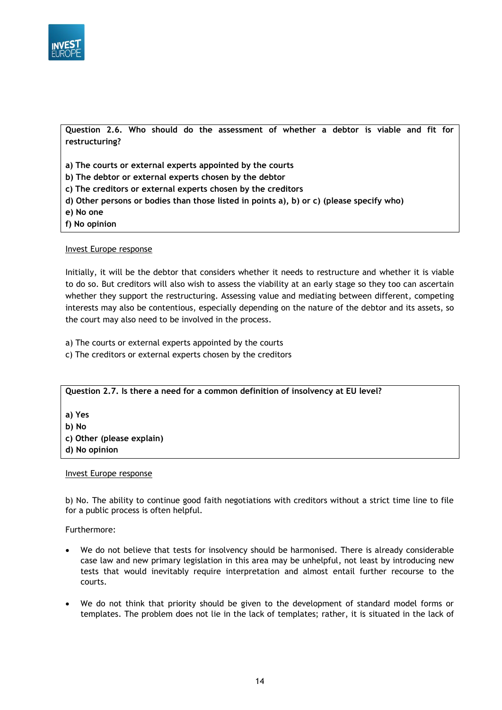

**Question 2.6. Who should do the assessment of whether a debtor is viable and fit for restructuring?**

**a) The courts or external experts appointed by the courts**

**b) The debtor or external experts chosen by the debtor**

- **c) The creditors or external experts chosen by the creditors**
- **d) Other persons or bodies than those listed in points a), b) or c) (please specify who)**
- **e) No one**
- **f) No opinion**

#### Invest Europe response

Initially, it will be the debtor that considers whether it needs to restructure and whether it is viable to do so. But creditors will also wish to assess the viability at an early stage so they too can ascertain whether they support the restructuring. Assessing value and mediating between different, competing interests may also be contentious, especially depending on the nature of the debtor and its assets, so the court may also need to be involved in the process.

a) The courts or external experts appointed by the courts

c) The creditors or external experts chosen by the creditors

**Question 2.7. Is there a need for a common definition of insolvency at EU level?**

**a) Yes b) No c) Other (please explain)**

**d) No opinion**

#### Invest Europe response

b) No. The ability to continue good faith negotiations with creditors without a strict time line to file for a public process is often helpful.

#### Furthermore:

- We do not believe that tests for insolvency should be harmonised. There is already considerable case law and new primary legislation in this area may be unhelpful, not least by introducing new tests that would inevitably require interpretation and almost entail further recourse to the courts.
- We do not think that priority should be given to the development of standard model forms or templates. The problem does not lie in the lack of templates; rather, it is situated in the lack of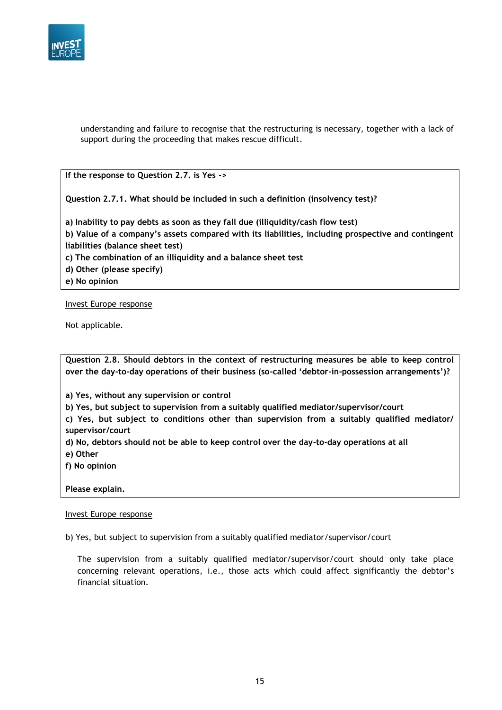

understanding and failure to recognise that the restructuring is necessary, together with a lack of support during the proceeding that makes rescue difficult.

**If the response to Question 2.7. is Yes ->** 

**Question 2.7.1. What should be included in such a definition (insolvency test)?**

**a) Inability to pay debts as soon as they fall due (illiquidity/cash flow test) b) Value of a company's assets compared with its liabilities, including prospective and contingent liabilities (balance sheet test) c) The combination of an illiquidity and a balance sheet test**

**d) Other (please specify)**

**e) No opinion**

Invest Europe response

Not applicable.

**Question 2.8. Should debtors in the context of restructuring measures be able to keep control over the day-to-day operations of their business (so-called 'debtor-in-possession arrangements')?**

**a) Yes, without any supervision or control**

**b) Yes, but subject to supervision from a suitably qualified mediator/supervisor/court**

**c) Yes, but subject to conditions other than supervision from a suitably qualified mediator/ supervisor/court**

**d) No, debtors should not be able to keep control over the day-to-day operations at all**

**e) Other**

**f) No opinion**

**Please explain.**

#### Invest Europe response

b) Yes, but subject to supervision from a suitably qualified mediator/supervisor/court

The supervision from a suitably qualified mediator/supervisor/court should only take place concerning relevant operations, i.e., those acts which could affect significantly the debtor's financial situation.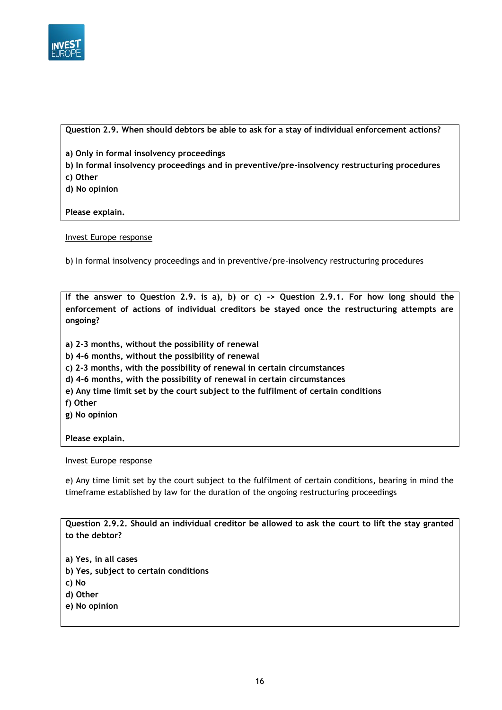

#### **Question 2.9. When should debtors be able to ask for a stay of individual enforcement actions?**

**a) Only in formal insolvency proceedings**

- **b) In formal insolvency proceedings and in preventive/pre-insolvency restructuring procedures**
- **c) Other**
- **d) No opinion**

**Please explain.**

Invest Europe response

b) In formal insolvency proceedings and in preventive/pre-insolvency restructuring procedures

**If the answer to Question 2.9. is a), b) or c) -> Question 2.9.1. For how long should the enforcement of actions of individual creditors be stayed once the restructuring attempts are ongoing?**

- **a) 2-3 months, without the possibility of renewal**
- **b) 4-6 months, without the possibility of renewal**
- **c) 2-3 months, with the possibility of renewal in certain circumstances**
- **d) 4-6 months, with the possibility of renewal in certain circumstances**
- **e) Any time limit set by the court subject to the fulfilment of certain conditions**
- **f) Other**
- **g) No opinion**

#### **Please explain.**

#### Invest Europe response

e) Any time limit set by the court subject to the fulfilment of certain conditions, bearing in mind the timeframe established by law for the duration of the ongoing restructuring proceedings

**Question 2.9.2. Should an individual creditor be allowed to ask the court to lift the stay granted to the debtor?**

- **a) Yes, in all cases**
- **b) Yes, subject to certain conditions**
- **c) No**
- **d) Other**
- **e) No opinion**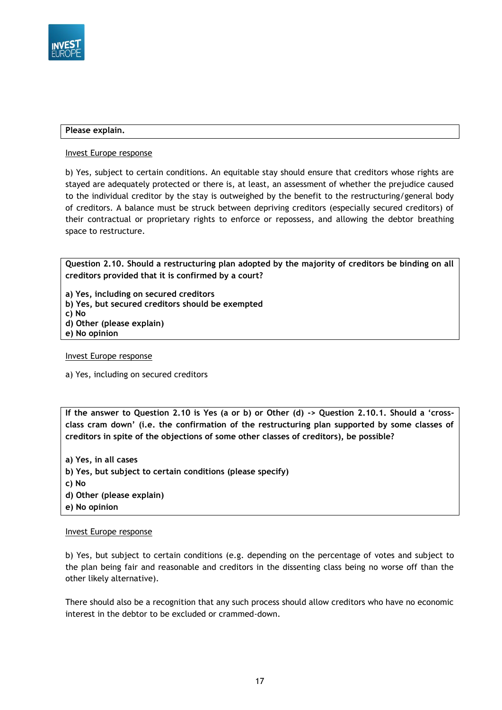

#### **Please explain.**

Invest Europe response

b) Yes, subject to certain conditions. An equitable stay should ensure that creditors whose rights are stayed are adequately protected or there is, at least, an assessment of whether the prejudice caused to the individual creditor by the stay is outweighed by the benefit to the restructuring/general body of creditors. A balance must be struck between depriving creditors (especially secured creditors) of their contractual or proprietary rights to enforce or repossess, and allowing the debtor breathing space to restructure.

**Question 2.10. Should a restructuring plan adopted by the majority of creditors be binding on all creditors provided that it is confirmed by a court?**

**a) Yes, including on secured creditors**

**b) Yes, but secured creditors should be exempted**

**c) No**

- **d) Other (please explain)**
- **e) No opinion**

Invest Europe response

a) Yes, including on secured creditors

**If the answer to Question 2.10 is Yes (a or b) or Other (d) -> Question 2.10.1. Should a 'crossclass cram down' (i.e. the confirmation of the restructuring plan supported by some classes of creditors in spite of the objections of some other classes of creditors), be possible?**

**a) Yes, in all cases b) Yes, but subject to certain conditions (please specify) c) No d) Other (please explain) e) No opinion**

#### Invest Europe response

b) Yes, but subject to certain conditions (e.g. depending on the percentage of votes and subject to the plan being fair and reasonable and creditors in the dissenting class being no worse off than the other likely alternative).

There should also be a recognition that any such process should allow creditors who have no economic interest in the debtor to be excluded or crammed-down.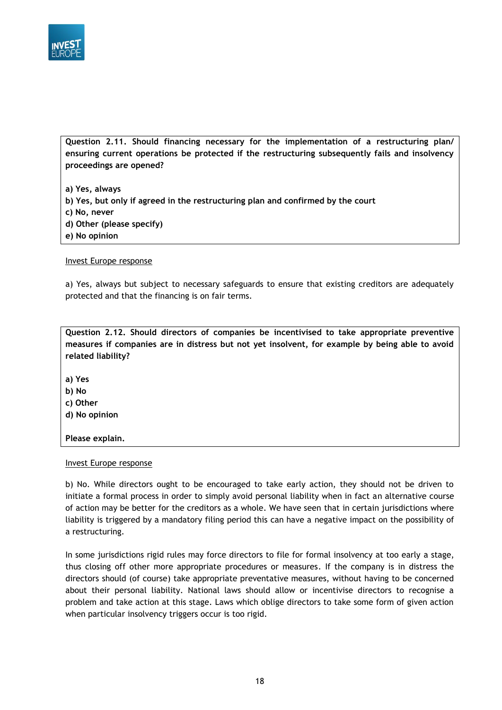

**Question 2.11. Should financing necessary for the implementation of a restructuring plan/ ensuring current operations be protected if the restructuring subsequently fails and insolvency proceedings are opened?**

**a) Yes, always b) Yes, but only if agreed in the restructuring plan and confirmed by the court c) No, never d) Other (please specify) e) No opinion**

Invest Europe response

a) Yes, always but subject to necessary safeguards to ensure that existing creditors are adequately protected and that the financing is on fair terms.

**Question 2.12. Should directors of companies be incentivised to take appropriate preventive measures if companies are in distress but not yet insolvent, for example by being able to avoid related liability?**

**a) Yes**

**b) No**

**c) Other**

**d) No opinion**

**Please explain.**

Invest Europe response

b) No. While directors ought to be encouraged to take early action, they should not be driven to initiate a formal process in order to simply avoid personal liability when in fact an alternative course of action may be better for the creditors as a whole. We have seen that in certain jurisdictions where liability is triggered by a mandatory filing period this can have a negative impact on the possibility of a restructuring.

In some jurisdictions rigid rules may force directors to file for formal insolvency at too early a stage, thus closing off other more appropriate procedures or measures. If the company is in distress the directors should (of course) take appropriate preventative measures, without having to be concerned about their personal liability. National laws should allow or incentivise directors to recognise a problem and take action at this stage. Laws which oblige directors to take some form of given action when particular insolvency triggers occur is too rigid.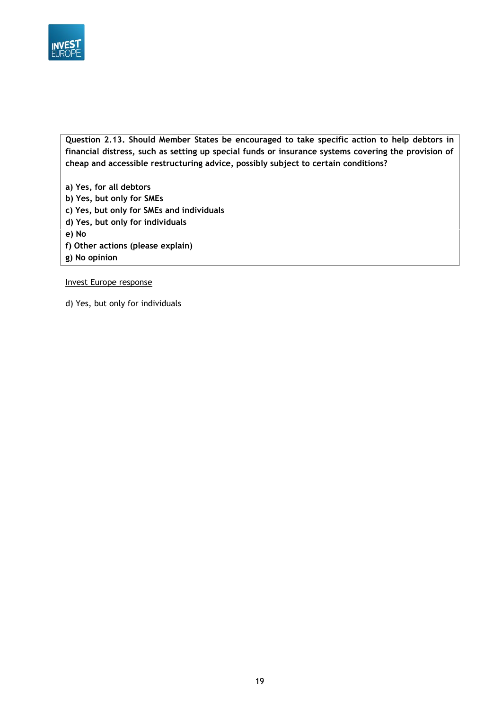

**Question 2.13. Should Member States be encouraged to take specific action to help debtors in financial distress, such as setting up special funds or insurance systems covering the provision of cheap and accessible restructuring advice, possibly subject to certain conditions?**

**a) Yes, for all debtors b) Yes, but only for SMEs c) Yes, but only for SMEs and individuals d) Yes, but only for individuals e) No f) Other actions (please explain) g) No opinion**

Invest Europe response

d) Yes, but only for individuals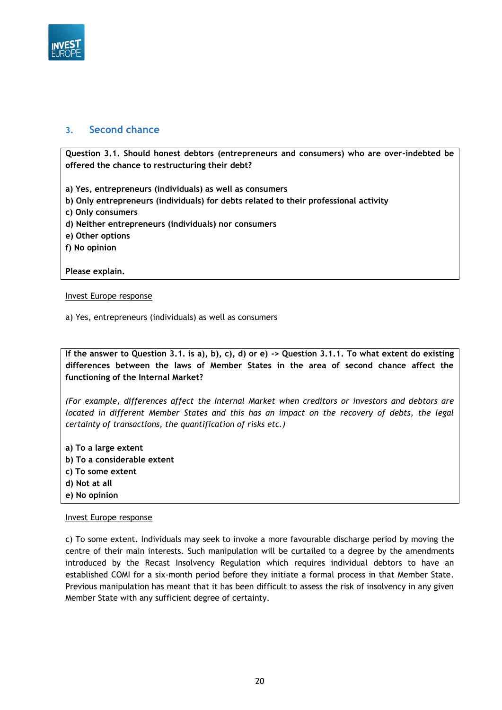

## <span id="page-19-0"></span>**3. Second chance**

**Question 3.1. Should honest debtors (entrepreneurs and consumers) who are over-indebted be offered the chance to restructuring their debt?**

**a) Yes, entrepreneurs (individuals) as well as consumers**

- **b) Only entrepreneurs (individuals) for debts related to their professional activity**
- **c) Only consumers**
- **d) Neither entrepreneurs (individuals) nor consumers**
- **e) Other options**
- **f) No opinion**

**Please explain.**

#### Invest Europe response

a) Yes, entrepreneurs (individuals) as well as consumers

**If the answer to Question 3.1. is a), b), c), d) or e) -> Question 3.1.1. To what extent do existing differences between the laws of Member States in the area of second chance affect the functioning of the Internal Market?**

*(For example, differences affect the Internal Market when creditors or investors and debtors are located in different Member States and this has an impact on the recovery of debts, the legal certainty of transactions, the quantification of risks etc.)*

**a) To a large extent b) To a considerable extent c) To some extent d) Not at all e) No opinion**

#### Invest Europe response

c) To some extent. Individuals may seek to invoke a more favourable discharge period by moving the centre of their main interests. Such manipulation will be curtailed to a degree by the amendments introduced by the Recast Insolvency Regulation which requires individual debtors to have an established COMI for a six-month period before they initiate a formal process in that Member State. Previous manipulation has meant that it has been difficult to assess the risk of insolvency in any given Member State with any sufficient degree of certainty.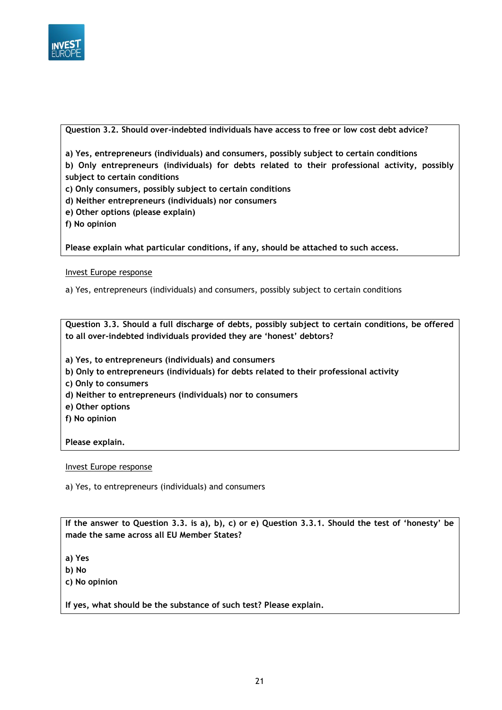

#### **Question 3.2. Should over-indebted individuals have access to free or low cost debt advice?**

**a) Yes, entrepreneurs (individuals) and consumers, possibly subject to certain conditions**

**b) Only entrepreneurs (individuals) for debts related to their professional activity, possibly subject to certain conditions**

**c) Only consumers, possibly subject to certain conditions**

- **d) Neither entrepreneurs (individuals) nor consumers**
- **e) Other options (please explain)**
- **f) No opinion**

**Please explain what particular conditions, if any, should be attached to such access.**

#### Invest Europe response

a) Yes, entrepreneurs (individuals) and consumers, possibly subject to certain conditions

**Question 3.3. Should a full discharge of debts, possibly subject to certain conditions, be offered to all over-indebted individuals provided they are 'honest' debtors?**

- **a) Yes, to entrepreneurs (individuals) and consumers**
- **b) Only to entrepreneurs (individuals) for debts related to their professional activity**
- **c) Only to consumers**
- **d) Neither to entrepreneurs (individuals) nor to consumers**
- **e) Other options**
- **f) No opinion**

**Please explain.**

#### Invest Europe response

a) Yes, to entrepreneurs (individuals) and consumers

**If the answer to Question 3.3. is a), b), c) or e) Question 3.3.1. Should the test of 'honesty' be made the same across all EU Member States?**

**a) Yes**

- **b) No**
- **c) No opinion**

**If yes, what should be the substance of such test? Please explain.**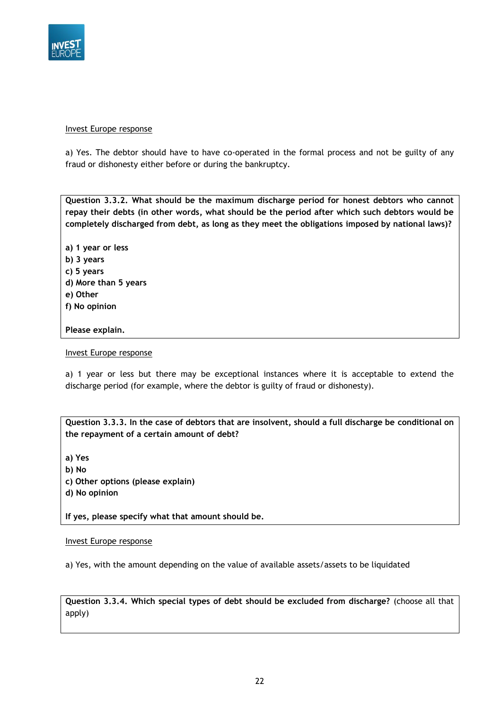

#### Invest Europe response

a) Yes. The debtor should have to have co-operated in the formal process and not be guilty of any fraud or dishonesty either before or during the bankruptcy.

**Question 3.3.2. What should be the maximum discharge period for honest debtors who cannot repay their debts (in other words, what should be the period after which such debtors would be completely discharged from debt, as long as they meet the obligations imposed by national laws)?**

**a) 1 year or less b) 3 years c) 5 years d) More than 5 years e) Other f) No opinion**

### **Please explain.**

#### Invest Europe response

a) 1 year or less but there may be exceptional instances where it is acceptable to extend the discharge period (for example, where the debtor is guilty of fraud or dishonesty).

**Question 3.3.3. In the case of debtors that are insolvent, should a full discharge be conditional on the repayment of a certain amount of debt?**

**a) Yes b) No c) Other options (please explain) d) No opinion**

**If yes, please specify what that amount should be.**

#### Invest Europe response

a) Yes, with the amount depending on the value of available assets/assets to be liquidated

**Question 3.3.4. Which special types of debt should be excluded from discharge?** (choose all that apply)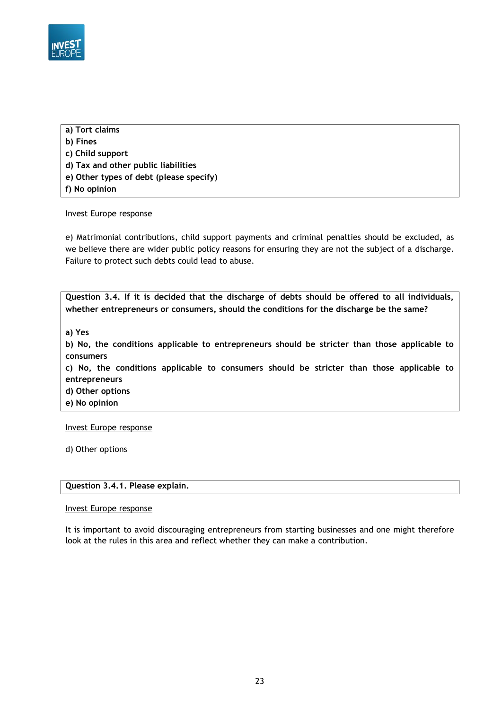

- **a) Tort claims b) Fines c) Child support d) Tax and other public liabilities**
- **e) Other types of debt (please specify)**
- **f) No opinion**

#### Invest Europe response

e) Matrimonial contributions, child support payments and criminal penalties should be excluded, as we believe there are wider public policy reasons for ensuring they are not the subject of a discharge. Failure to protect such debts could lead to abuse.

**Question 3.4. If it is decided that the discharge of debts should be offered to all individuals, whether entrepreneurs or consumers, should the conditions for the discharge be the same?**

**a) Yes**

**b) No, the conditions applicable to entrepreneurs should be stricter than those applicable to consumers**

**c) No, the conditions applicable to consumers should be stricter than those applicable to entrepreneurs**

**d) Other options**

**e) No opinion**

Invest Europe response

d) Other options

### **Question 3.4.1. Please explain.**

#### Invest Europe response

It is important to avoid discouraging entrepreneurs from starting businesses and one might therefore look at the rules in this area and reflect whether they can make a contribution.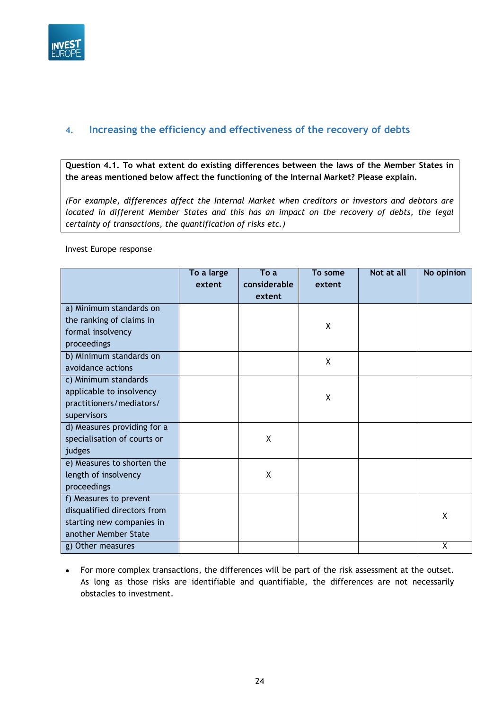

# <span id="page-23-0"></span>**4. Increasing the efficiency and effectiveness of the recovery of debts**

**Question 4.1. To what extent do existing differences between the laws of the Member States in the areas mentioned below affect the functioning of the Internal Market? Please explain.**

*(For example, differences affect the Internal Market when creditors or investors and debtors are located in different Member States and this has an impact on the recovery of debts, the legal certainty of transactions, the quantification of risks etc.)*

#### Invest Europe response

|                             | To a large<br>extent | To a<br>considerable | To some<br>extent | Not at all | No opinion |
|-----------------------------|----------------------|----------------------|-------------------|------------|------------|
|                             |                      | extent               |                   |            |            |
| a) Minimum standards on     |                      |                      |                   |            |            |
| the ranking of claims in    |                      |                      | χ                 |            |            |
| formal insolvency           |                      |                      |                   |            |            |
| proceedings                 |                      |                      |                   |            |            |
| b) Minimum standards on     |                      |                      | X                 |            |            |
| avoidance actions           |                      |                      |                   |            |            |
| c) Minimum standards        |                      |                      |                   |            |            |
| applicable to insolvency    |                      |                      | X                 |            |            |
| practitioners/mediators/    |                      |                      |                   |            |            |
| supervisors                 |                      |                      |                   |            |            |
| d) Measures providing for a |                      |                      |                   |            |            |
| specialisation of courts or |                      | X                    |                   |            |            |
| judges                      |                      |                      |                   |            |            |
| e) Measures to shorten the  |                      |                      |                   |            |            |
| length of insolvency        |                      | X                    |                   |            |            |
| proceedings                 |                      |                      |                   |            |            |
| f) Measures to prevent      |                      |                      |                   |            |            |
| disqualified directors from |                      |                      |                   |            | X          |
| starting new companies in   |                      |                      |                   |            |            |
| another Member State        |                      |                      |                   |            |            |
| g) Other measures           |                      |                      |                   |            | χ          |

 For more complex transactions, the differences will be part of the risk assessment at the outset. As long as those risks are identifiable and quantifiable, the differences are not necessarily obstacles to investment.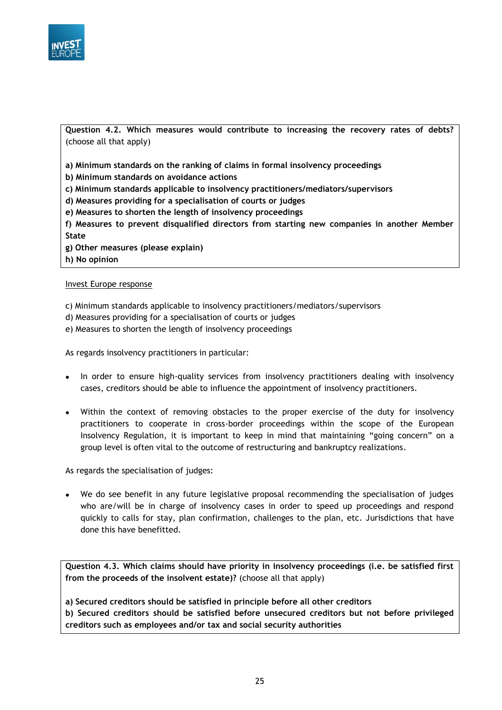

**Question 4.2. Which measures would contribute to increasing the recovery rates of debts?**  (choose all that apply)

**a) Minimum standards on the ranking of claims in formal insolvency proceedings**

**b) Minimum standards on avoidance actions**

- **c) Minimum standards applicable to insolvency practitioners/mediators/supervisors**
- **d) Measures providing for a specialisation of courts or judges**
- **e) Measures to shorten the length of insolvency proceedings**

**f) Measures to prevent disqualified directors from starting new companies in another Member State**

- **g) Other measures (please explain)**
- **h) No opinion**

#### Invest Europe response

c) Minimum standards applicable to insolvency practitioners/mediators/supervisors

- d) Measures providing for a specialisation of courts or judges
- e) Measures to shorten the length of insolvency proceedings

As regards insolvency practitioners in particular:

- In order to ensure high-quality services from insolvency practitioners dealing with insolvency cases, creditors should be able to influence the appointment of insolvency practitioners.
- Within the context of removing obstacles to the proper exercise of the duty for insolvency practitioners to cooperate in cross-border proceedings within the scope of the European Insolvency Regulation, it is important to keep in mind that maintaining "going concern" on a group level is often vital to the outcome of restructuring and bankruptcy realizations.

As regards the specialisation of judges:

 We do see benefit in any future legislative proposal recommending the specialisation of judges who are/will be in charge of insolvency cases in order to speed up proceedings and respond quickly to calls for stay, plan confirmation, challenges to the plan, etc. Jurisdictions that have done this have benefitted.

**Question 4.3. Which claims should have priority in insolvency proceedings (i.e. be satisfied first from the proceeds of the insolvent estate)?** (choose all that apply)

**a) Secured creditors should be satisfied in principle before all other creditors**

**b) Secured creditors should be satisfied before unsecured creditors but not before privileged creditors such as employees and/or tax and social security authorities**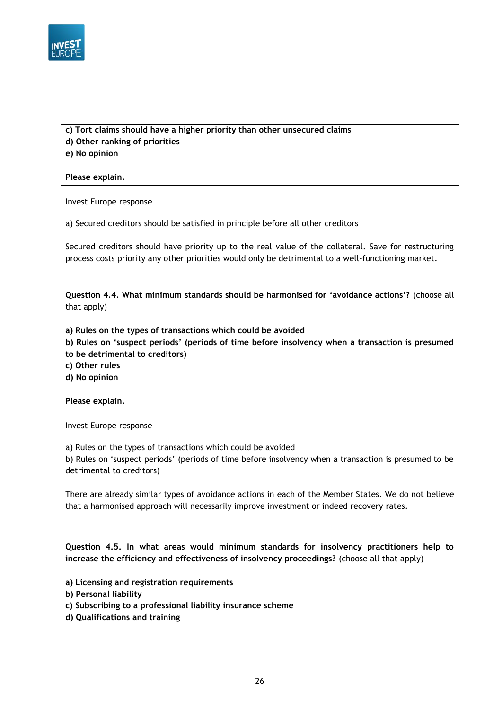

**c) Tort claims should have a higher priority than other unsecured claims d) Other ranking of priorities**

**e) No opinion**

**Please explain.**

Invest Europe response

a) Secured creditors should be satisfied in principle before all other creditors

Secured creditors should have priority up to the real value of the collateral. Save for restructuring process costs priority any other priorities would only be detrimental to a well-functioning market.

**Question 4.4. What minimum standards should be harmonised for 'avoidance actions'?** (choose all that apply)

**a) Rules on the types of transactions which could be avoided**

**b) Rules on 'suspect periods' (periods of time before insolvency when a transaction is presumed to be detrimental to creditors)**

**c) Other rules**

**d) No opinion**

**Please explain.**

Invest Europe response

a) Rules on the types of transactions which could be avoided

b) Rules on 'suspect periods' (periods of time before insolvency when a transaction is presumed to be detrimental to creditors)

There are already similar types of avoidance actions in each of the Member States. We do not believe that a harmonised approach will necessarily improve investment or indeed recovery rates.

**Question 4.5. In what areas would minimum standards for insolvency practitioners help to increase the efficiency and effectiveness of insolvency proceedings?** (choose all that apply)

- **a) Licensing and registration requirements**
- **b) Personal liability**
- **c) Subscribing to a professional liability insurance scheme**
- **d) Qualifications and training**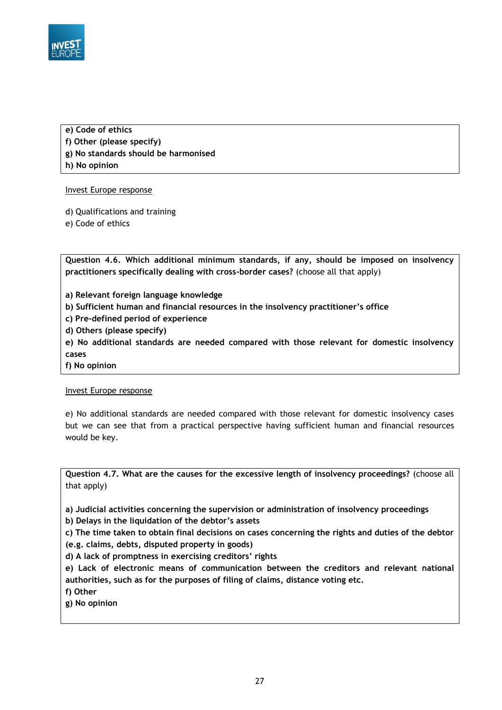

**e) Code of ethics f) Other (please specify) g) No standards should be harmonised h) No opinion**

#### Invest Europe response

d) Qualifications and training

e) Code of ethics

**Question 4.6. Which additional minimum standards, if any, should be imposed on insolvency practitioners specifically dealing with cross-border cases?** (choose all that apply)

**a) Relevant foreign language knowledge**

- **b) Sufficient human and financial resources in the insolvency practitioner's office**
- **c) Pre-defined period of experience**
- **d) Others (please specify)**

**e) No additional standards are needed compared with those relevant for domestic insolvency cases**

**f) No opinion**

### Invest Europe response

e) No additional standards are needed compared with those relevant for domestic insolvency cases but we can see that from a practical perspective having sufficient human and financial resources would be key.

**Question 4.7. What are the causes for the excessive length of insolvency proceedings?** (choose all that apply)

**a) Judicial activities concerning the supervision or administration of insolvency proceedings**

**b) Delays in the liquidation of the debtor's assets**

**c) The time taken to obtain final decisions on cases concerning the rights and duties of the debtor (e.g. claims, debts, disputed property in goods)**

**d) A lack of promptness in exercising creditors' rights**

**e) Lack of electronic means of communication between the creditors and relevant national authorities, such as for the purposes of filing of claims, distance voting etc.**

**f) Other**

**g) No opinion**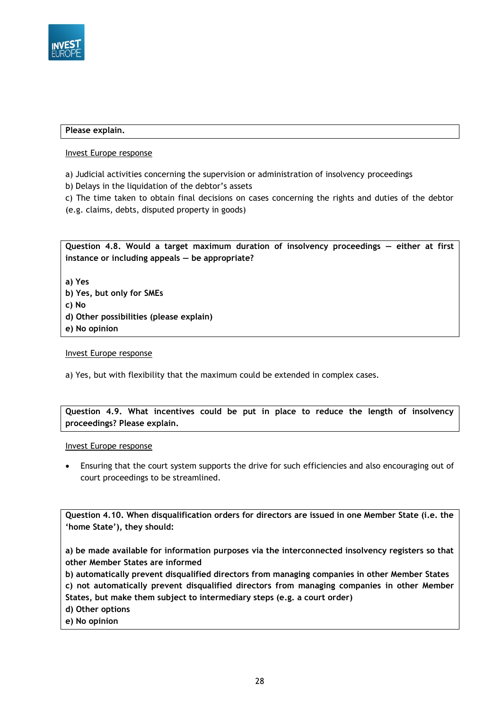

#### **Please explain.**

#### Invest Europe response

- a) Judicial activities concerning the supervision or administration of insolvency proceedings
- b) Delays in the liquidation of the debtor's assets
- c) The time taken to obtain final decisions on cases concerning the rights and duties of the debtor
- (e.g. claims, debts, disputed property in goods)

**Question 4.8. Would a target maximum duration of insolvency proceedings — either at first instance or including appeals — be appropriate?**

**a) Yes**

- **b) Yes, but only for SMEs**
- **c) No**
- **d) Other possibilities (please explain)**
- **e) No opinion**

#### Invest Europe response

a) Yes, but with flexibility that the maximum could be extended in complex cases.

## **Question 4.9. What incentives could be put in place to reduce the length of insolvency proceedings? Please explain.**

#### Invest Europe response

 Ensuring that the court system supports the drive for such efficiencies and also encouraging out of court proceedings to be streamlined.

**Question 4.10. When disqualification orders for directors are issued in one Member State (i.e. the 'home State'), they should:**

**a) be made available for information purposes via the interconnected insolvency registers so that other Member States are informed**

**b) automatically prevent disqualified directors from managing companies in other Member States**

**c) not automatically prevent disqualified directors from managing companies in other Member States, but make them subject to intermediary steps (e.g. a court order)**

- **d) Other options**
- **e) No opinion**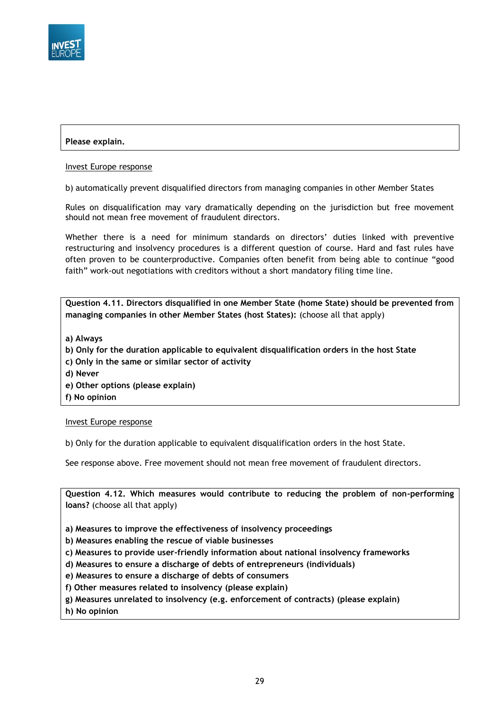

## **Please explain.**

#### Invest Europe response

b) automatically prevent disqualified directors from managing companies in other Member States

Rules on disqualification may vary dramatically depending on the jurisdiction but free movement should not mean free movement of fraudulent directors.

Whether there is a need for minimum standards on directors' duties linked with preventive restructuring and insolvency procedures is a different question of course. Hard and fast rules have often proven to be counterproductive. Companies often benefit from being able to continue "good faith" work-out negotiations with creditors without a short mandatory filing time line.

**Question 4.11. Directors disqualified in one Member State (home State) should be prevented from managing companies in other Member States (host States):** (choose all that apply)

- **a) Always**
- **b) Only for the duration applicable to equivalent disqualification orders in the host State**
- **c) Only in the same or similar sector of activity**
- **d) Never**
- **e) Other options (please explain)**
- **f) No opinion**

#### Invest Europe response

b) Only for the duration applicable to equivalent disqualification orders in the host State.

See response above. Free movement should not mean free movement of fraudulent directors.

**Question 4.12. Which measures would contribute to reducing the problem of non-performing loans?** (choose all that apply)

**a) Measures to improve the effectiveness of insolvency proceedings**

- **b) Measures enabling the rescue of viable businesses**
- **c) Measures to provide user-friendly information about national insolvency frameworks**
- **d) Measures to ensure a discharge of debts of entrepreneurs (individuals)**

**e) Measures to ensure a discharge of debts of consumers**

**f) Other measures related to insolvency (please explain)**

**g) Measures unrelated to insolvency (e.g. enforcement of contracts) (please explain)**

**h) No opinion**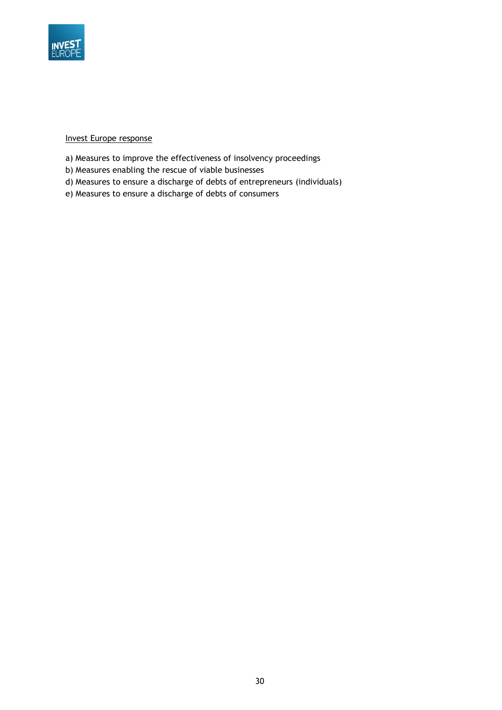

### Invest Europe response

- a) Measures to improve the effectiveness of insolvency proceedings
- b) Measures enabling the rescue of viable businesses
- d) Measures to ensure a discharge of debts of entrepreneurs (individuals)
- e) Measures to ensure a discharge of debts of consumers